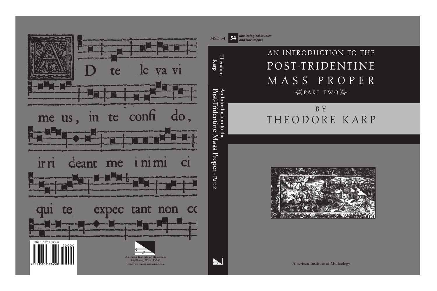# AN INTRODUCTION TO THE POST-TRIDENTINE MASS PROPER  $\bigoplus$ PART TWO $\bigoplus$

# ! " B Y THEODORE KARP



**American Institute of Musicology**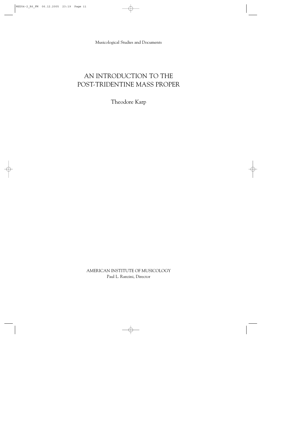Musicological Studies and Documents

### AN INTRODUCTION TO THE POST-TRIDENTINE MASS PROPER

Theodore Karp

AMERICAN INSTITUTE OF MUSICOLOGY Paul L. Ranzini, Director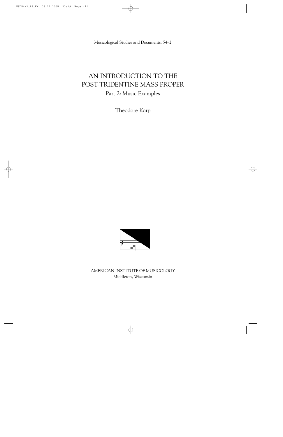Musicological Studies and Documents, 54–2

## AN INTRODUCTION TO THE POST-TRIDENTINE MASS PROPER Part 2: Music Examples

Theodore Karp



AMERICAN INSTITUTE OF MUSICOLOGY Middleton, Wisconsin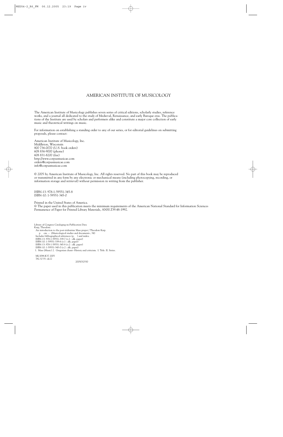#### AMERICAN INSTITUTE OF MUSICOLOGY

The American Institute of Musicology publishes seven series of critical editions, scholarly studies, reference works, and a journal all dedicated to the study of Medieval, Renaissance, and early Baroque eras. The publications of the Institute are used by scholars and performers alike and constitute a major core collection of early music and theoretical writings on music.

For information on establishing a standing order to any of our series, or for editorial guidelines on submitting proposals, please contact:

American Institute of Musicology, Inc. Middleton, Wisconsin 800 736-0070 (U.S. book orders) 608 836-9000 (phone) 608 831-8200 (fax) http://www.corpusmusicae.com orders@corpusmusicae.com info@corpusmusicae.com

© 2005 by American Institute of Musicology, Inc. All rights reserved. No part of this book may be reproduced or transmitted in any form by any electronic or mechanical means (including photocopying, recording, or information storage and retrieval) without permission in writing from the publisher.

ISBN-13: 978-1-59551-345-8 ISBN-10: 1-59551-345-0

Printed in the United States of America. 8 The paper used in this publication meets the minimum requirements of the American National Standard for Information Sciences Permanence of Paper for Printed Library Materials, ANSI Z39.48-1992.

Library of Congress Cataloging-in-Publication Data Karp, Theodore. An introduction to the post-tridentine Mass proper / Theodore Karp. p. cm. -- (Musicological studies and documents ; 54) Includes bibliographical references (p. ) and index. ISBN-13: 978-1-59551-339-7 (v.1 : alk. paper) ISBN-10: 1-59551-339-6 (v.1 : alk. paper) ISBN-13: 978-1-59551-345-8 (v.2 : alk. paper) ISBN-10: 1-59551-345-0 (v.2 : alk. paper) 1. Mass (Music) 2. Gregorian chant--History and criticism. I. Title. II. Series.

ML3088.K37 2005 782.32'35--dc22

2005032550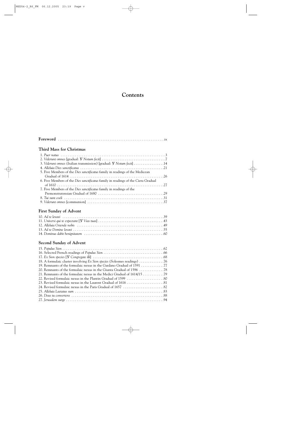#### **Contents**

| <b>Third Mass for Christmas</b>                                                   |
|-----------------------------------------------------------------------------------|
|                                                                                   |
|                                                                                   |
| 3. Viderunt omnes (Italian transmission) [gradual: W Notum fecit] 14              |
|                                                                                   |
| 5. Five Members of the Dies sanctificatus family in readings of the Medicean      |
|                                                                                   |
| 6. Five Members of the Dies sanctificatus family in readings of the Ciera Gradual |
|                                                                                   |
| 7. Five Members of the Dies sanctificatus family in readings of the               |
|                                                                                   |
|                                                                                   |
|                                                                                   |

#### **First Sunday of Advent**

#### **Second Sunday of Advent**

| 19. Remnants of the formulaic nexus in the Gardano Gradual of 1591 77 |  |
|-----------------------------------------------------------------------|--|
|                                                                       |  |
|                                                                       |  |
|                                                                       |  |
|                                                                       |  |
|                                                                       |  |
|                                                                       |  |
|                                                                       |  |
|                                                                       |  |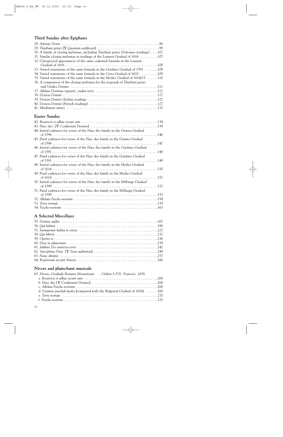#### **Third Sunday after Epiphany**

| 30. A family of closing melismas, including <i>Timebunt gentes</i> (Solesmes readings)107 |
|-------------------------------------------------------------------------------------------|
| 31. Similar closing melismas in readings of the Laurent Gradual of 1616 107               |
| 32. Unexpected appearances of the same cadential formula in the Laurent                   |
|                                                                                           |
| 33. Varied statements of the same formula in the Gardano Gradual of 1591 108              |
| 34. Varied statements of the same formula in the Ciera Gradual of 1610 109                |
| 35. Varied statements of the same formula in the Medici Gradual of 1614/15 110            |
| 36. A comparison of the closing melismas for the responds of Timebunt gentes              |
|                                                                                           |
|                                                                                           |
|                                                                                           |
|                                                                                           |
|                                                                                           |
|                                                                                           |

#### **Easter Sunday**

| 44. Initial cadences for verses of the Haec dies family in the Giunta Gradual   |
|---------------------------------------------------------------------------------|
| 45. Final cadences for verses of the Haec dies family in the Giunta Gradual     |
| 46. Initial cadences for verses of the Haec dies family in the Gardano Gradual  |
| 47. Final cadences for verses of the Haec dies family in the Gardano Gradual    |
| 48. Initial cadences for verses of the Haec dies family in the Medici Gradual   |
| 49. Final cadences for verses of the Haec dies family in the Medici Gradual     |
| 50. Initial cadences for verses of the Haec dies family in the Millange Gradual |
| 51. Final cadences for verses of the Haec dies family in the Millange Gradual   |
|                                                                                 |
|                                                                                 |
|                                                                                 |

#### **A Selected Miscellany**

#### **Nivers and** *plainchant musicale*

| 65. Nivers, Graduale Romano-Monasticum Ordinis S.P.N. Francisci, 1658        |  |
|------------------------------------------------------------------------------|--|
|                                                                              |  |
|                                                                              |  |
|                                                                              |  |
| d. Victimae paschali laudes [compared with the Belgrand Gradual of 1656] 268 |  |
|                                                                              |  |
|                                                                              |  |
|                                                                              |  |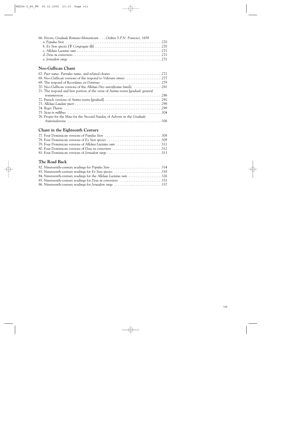| 66. Nivers, Graduale Romano-Monasticum Ordinis S.P.N. Francisci, 1658 |  |
|-----------------------------------------------------------------------|--|
|                                                                       |  |
|                                                                       |  |
|                                                                       |  |
|                                                                       |  |
|                                                                       |  |

#### **Neo-Gallican Chant**

| 68. Neo-Gallican versions of the respond to Viderunt omnes 277                    |
|-----------------------------------------------------------------------------------|
|                                                                                   |
| 70. Neo-Gallican versions of the Alleluia Dies sanctificatus family 281           |
| 71. The respond and first portion of the verse of Anima nostra [gradual: general] |
|                                                                                   |
|                                                                                   |
|                                                                                   |
|                                                                                   |
|                                                                                   |
| 76. Proper for the Mass for the Second Sunday of Advent in the Graduale           |
|                                                                                   |

#### **Chant in the Eighteenth Century**

| 79. Four Dominican versions of Alleluia Laetatus sum 311 |  |
|----------------------------------------------------------|--|
| 80. Four Dominican versions of Deus tu convertens 312    |  |
|                                                          |  |

#### **The Road Back**

| 82. Nineteenth-century readings for Populus Sion 314              |  |
|-------------------------------------------------------------------|--|
|                                                                   |  |
| 84. Nineteenth-century readings for the Alleluia Laetatus sum 326 |  |
| 85. Nineteenth-century readings for Deus tu convertens 331        |  |
| 86. Nineteenth-century readings for Jerusalem surge 337           |  |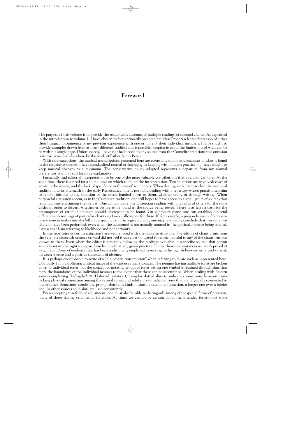#### **Foreword**

The purpose of this volume is to provide the reader with accounts of multiple readings of selected chants. As explained in the introduction to volume 1, I have chosen to focus primarily on complete Mass Propers selected for reason of either their liturgical prominence or my previous experience with one or more of their individual members. I have sought to provide examples drawn from as many different traditions as is possible, keeping in mind the limitations of what can be fit within a single page. Unfortunately, I have not had access to any source from the Carmelite tradition; this omission is in part remedied elsewhere by the work of Father James Boyce.

With rare exceptions, the musical transcriptions presented here are essentially diplomatic accounts of what is found in the respective sources. I have standardized textual orthography in keeping with modern practice, but have sought to keep musical changes to a minimum. The conservative policy adopted represents a departure from my normal preferences and may call for some explanation.

I generally find editorial interpretation to be one of the more valuable contributions that a scholar can offer. At the same time, there is a need for a sound basis on which to found the interpretation. Two situations are involved: cases of errors in the source, and the lack of specificity in the use of accidentals. When dealing with chant within the medieval tradition and its aftermath in the early Renaissance, one is normally dealing with a repertory whose practitioners aim to remain faithful to the tradition of the music handed down to them, whether orally or through writing. When purposeful alterations occur, as in the Cistercian tradition, one still hopes to have access to a small group of sources that remain consistent among themselves. One can compare one Cistercian reading with a handful of others for the same Order in order to discern whether errors are to be found in the source being tested. There is at least a basis for the presumption of error or omission should discrepancies be found. On a broader plane one can establish dialectal differences in readings of particular chants and make allowance for these. If, for example, a preponderance of representative sources makes use of a *b-flat* at a specific point in a given chant, one may reasonably conclude that this tone was likely to have been performed, even when the accidental is not actually notated in the particular source being studied. I stress that I am referring to likelihood and not certainty.

In the repertoire under investigation here we are faced with the opposite situation. The editors of chant prints from the very late sixteenth century onward did not feel themselves obligated to remain faithful to any of the chant versions known to them. Even when the editor is generally following the readings available in a specific source, that person seems to retain the right to depart from his model at any given juncture. Under these circumstances we are deprived of a significant form of evidence that has been traditionally employed in seeking to distinguish between error and variant, between silence and a positive statement of absence.

It is perhaps questionable to write of a "diplomatic transcription" when referring to music such as is presented here. Obviously I am not offering a literal image of the various primary sources. The neumes having multiple tones are broken down to individual tones, but the concept of notating groups of tones within one symbol is retained through slurs that mark the boundaries of the individual neumes to the extent that these can be ascertained. When dealing with Eastern sources employing *Hufnagelschrift* (Hob-nail notation), I employ dotted slurs to indicate connections between tones lacking physical connection among the several tones, and solid slurs to indicate tones that are physically connected to one another. Sometimes conditions prompt that both kinds of slurs be used in conjunction, a longer one over a briefer one. In other sources solid slurs are used consistently.

Even accepting this form of adjustment, one must also be able to distinguish among other special forms of notation, many of these having ornamental function. At times we cannot be certain about the intended function of some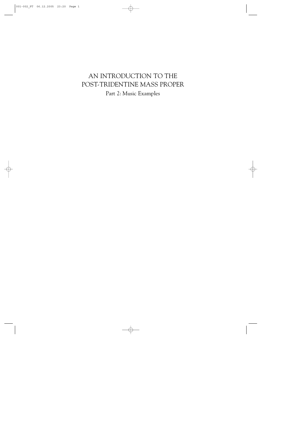# AN INTRODUCTION TO THE POST-TRIDENTINE MASS PROPER Part 2: Music Examples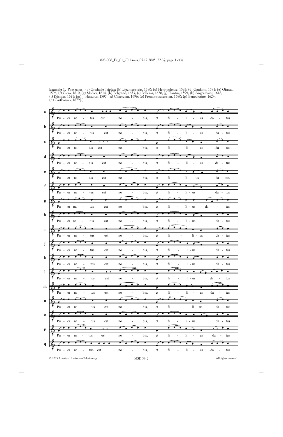**Example 1.** *Puer natus:* (a) Graduale Triplex; (b) Liechtenstein, 1580; (c) Herbipolense, 1583; (d) Gardano, 1591; (e) Giunta, 1596; (f) Ciera, 1610; (g) Medici, 1614; (h) Belgrand, 1633; (i) Belleros, 1620; (j) Plantin, 1599; (k) Angermaier, 1618; (l) Küchler, 1671; (m) J. Flandrus, 1597; (n) Cistercian, 1696; (o) Premonstratensian, 1680; (p) Benedictine, 1624; (q) Carthusian, 1679(?)